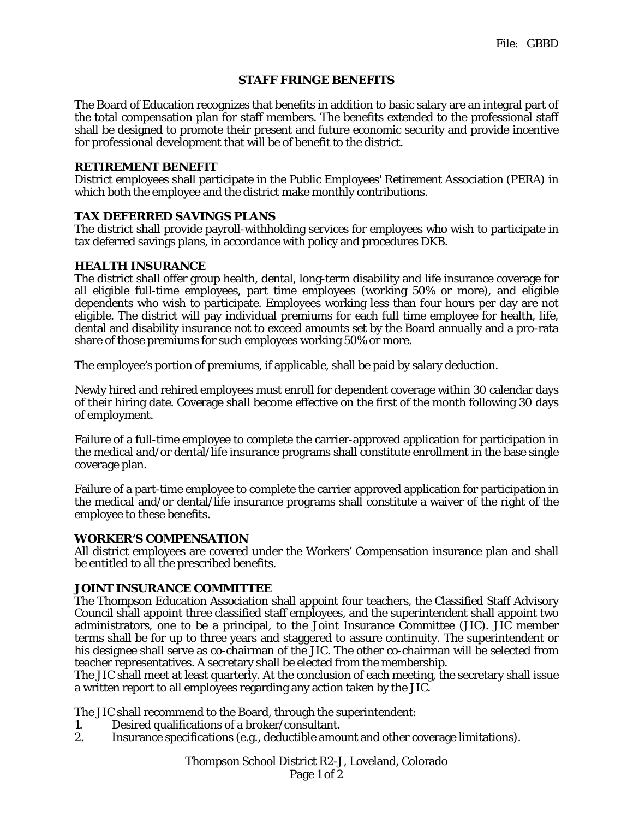## **STAFF FRINGE BENEFITS**

The Board of Education recognizes that benefits in addition to basic salary are an integral part of the total compensation plan for staff members. The benefits extended to the professional staff shall be designed to promote their present and future economic security and provide incentive for professional development that will be of benefit to the district.

## **RETIREMENT BENEFIT**

District employees shall participate in the Public Employees' Retirement Association (PERA) in which both the employee and the district make monthly contributions.

# **TAX DEFERRED SAVINGS PLANS**

The district shall provide payroll-withholding services for employees who wish to participate in tax deferred savings plans, in accordance with policy and procedures DKB.

# **HEALTH INSURANCE**

The district shall offer group health, dental, long-term disability and life insurance coverage for all eligible full-time employees, part time employees (working 50% or more), and eligible dependents who wish to participate. Employees working less than four hours per day are not eligible. The district will pay individual premiums for each full time employee for health, life, dental and disability insurance not to exceed amounts set by the Board annually and a pro-rata share of those premiums for such employees working 50% or more.

The employee's portion of premiums, if applicable, shall be paid by salary deduction.

Newly hired and rehired employees must enroll for dependent coverage within 30 calendar days of their hiring date. Coverage shall become effective on the first of the month following 30 days of employment.

Failure of a full-time employee to complete the carrier-approved application for participation in the medical and/or dental/life insurance programs shall constitute enrollment in the base single coverage plan.

Failure of a part-time employee to complete the carrier approved application for participation in the medical and/or dental/life insurance programs shall constitute a waiver of the right of the employee to these benefits.

### **WORKER'S COMPENSATION**

All district employees are covered under the Workers' Compensation insurance plan and shall be entitled to all the prescribed benefits.

### **JOINT INSURANCE COMMITTEE**

The Thompson Education Association shall appoint four teachers, the Classified Staff Advisory Council shall appoint three classified staff employees, and the superintendent shall appoint two administrators, one to be a principal, to the Joint Insurance Committee (JIC). JIC member terms shall be for up to three years and staggered to assure continuity. The superintendent or his designee shall serve as co-chairman of the JIC. The other co-chairman will be selected from teacher representatives. A secretary shall be elected from the membership.

The JIC shall meet at least quarterly. At the conclusion of each meeting, the secretary shall issue a written report to all employees regarding any action taken by the JIC.

The JIC shall recommend to the Board, through the superintendent:

- 1. Desired qualifications of a broker/consultant.
- 2. Insurance specifications (e.g., deductible amount and other coverage limitations).